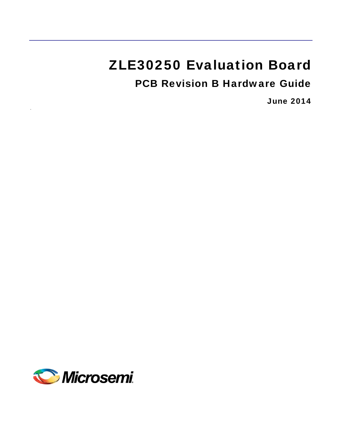# ZLE30250 Evaluation Board

PCB Revision B Hardware Guide

June 2014



.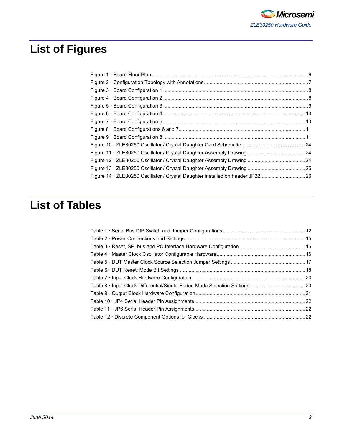

## **List of Figures**

| Figure 14 · ZLE30250 Oscillator / Crystal Daughter installed on header JP2226 |  |
|-------------------------------------------------------------------------------|--|

## **List of Tables**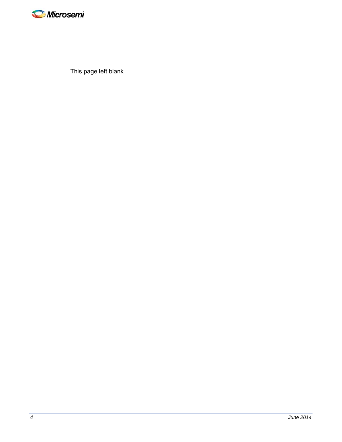

This page left blank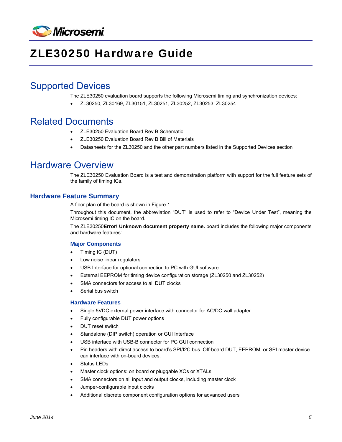

## ZLE30250 Hardware Guide

### Supported Devices

The ZLE30250 evaluation board supports the following Microsemi timing and synchronization devices:

ZL30250, ZL30169, ZL30151, ZL30251, ZL30252, ZL30253, ZL30254

## Related Documents

- **ZLE30250 Evaluation Board Rev B Schematic**
- ZLE30250 Evaluation Board Rev B Bill of Materials
- Datasheets for the ZL30250 and the other part numbers listed in the Supported Devices section

### Hardware Overview

The ZLE30250 Evaluation Board is a test and demonstration platform with support for the full feature sets of the family of timing ICs.

#### **Hardware Feature Summary**

A floor plan of the board is shown in Figure 1.

Throughout this document, the abbreviation "DUT" is used to refer to "Device Under Test", meaning the Microsemi timing IC on the board.

The ZLE30250**Error! Unknown document property name.** board includes the following major components and hardware features:

#### **Major Components**

- Timing IC (DUT)
- Low noise linear regulators
- USB Interface for optional connection to PC with GUI software
- External EEPROM for timing device configuration storage (ZL30250 and ZL30252)
- SMA connectors for access to all DUT clocks
- Serial bus switch

#### **Hardware Features**

- Single 5VDC external power interface with connector for AC/DC wall adapter
- Fully configurable DUT power options
- DUT reset switch
- Standalone (DIP switch) operation or GUI Interface
- USB interface with USB-B connector for PC GUI connection
- Pin headers with direct access to board's SPI/I2C bus. Off-board DUT, EEPROM, or SPI master device can interface with on-board devices.
- Status LEDs
- Master clock options: on board or pluggable XOs or XTALs
- SMA connectors on all input and output clocks, including master clock
- Jumper-configurable input clocks
- Additional discrete component configuration options for advanced users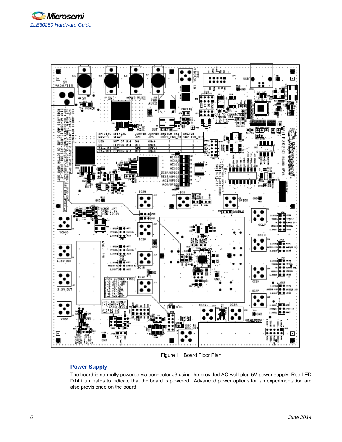



Figure 1 · Board Floor Plan

#### **Power Supply**

The board is normally powered via connector J3 using the provided AC-wall-plug 5V power supply. Red LED D14 illuminates to indicate that the board is powered. Advanced power options for lab experimentation are also provisioned on the board.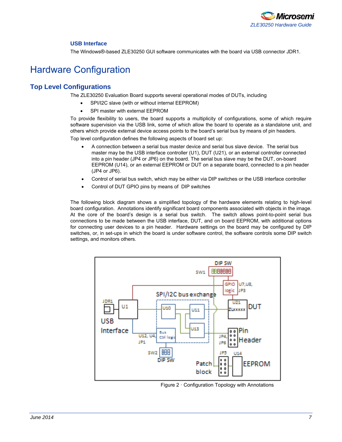

#### **USB Interface**

The Windows®-based ZLE30250 GUI software communicates with the board via USB connector JDR1.

## Hardware Configuration

#### **Top Level Configurations**

The ZLE30250 Evaluation Board supports several operational modes of DUTs, including

- SPI/I2C slave (with or without internal EEPROM)
- SPI master with external EEPROM

To provide flexibility to users, the board supports a multiplicity of configurations, some of which require software supervision via the USB link, some of which allow the board to operate as a standalone unit, and others which provide external device access points to the board's serial bus by means of pin headers.

Top level configuration defines the following aspects of board set up:

- A connection between a serial bus master device and serial bus slave device. The serial bus master may be the USB interface controller (U1), DUT (U21), or an external controller connected into a pin header (JP4 or JP6) on the board. The serial bus slave may be the DUT, on-board EEPROM (U14), or an external EEPROM or DUT on a separate board, connected to a pin header (JP4 or JP6).
- Control of serial bus switch, which may be either via DIP switches or the USB interface controller
- Control of DUT GPIO pins by means of DIP switches

The following block diagram shows a simplified topology of the hardware elements relating to high-level board configuration. Annotations identify significant board components associated with objects in the image. At the core of the board's design is a serial bus switch. The switch allows point-to-point serial bus connections to be made between the USB interface, DUT, and on board EEPROM, with additional options for connecting user devices to a pin header. Hardware settings on the board may be configured by DIP switches, or, in set-ups in which the board is under software control, the software controls some DIP switch settings, and monitors others.



Figure 2 · Configuration Topology with Annotations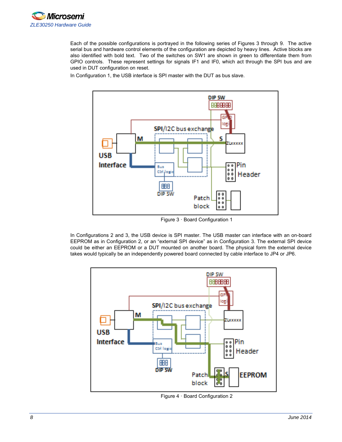

Each of the possible configurations is portrayed in the following series of Figures 3 through 9. The active serial bus and hardware control elements of the configuration are depicted by heavy lines. Active blocks are also identified with bold text. Two of the switches on SW1 are shown in green to differentiate them from GPIO controls. These represent settings for signals IF1 and IF0, which act through the SPI bus and are used in DUT configuration on reset.

In Configuration 1, the USB interface is SPI master with the DUT as bus slave.



Figure 3 · Board Configuration 1

In Configurations 2 and 3, the USB device is SPI master. The USB master can interface with an on-board EEPROM as in Configuration 2, or an "external SPI device" as in Configuration 3. The external SPI device could be either an EEPROM or a DUT mounted on another board. The physical form the external device takes would typically be an independently powered board connected by cable interface to JP4 or JP6.



Figure 4 · Board Configuration 2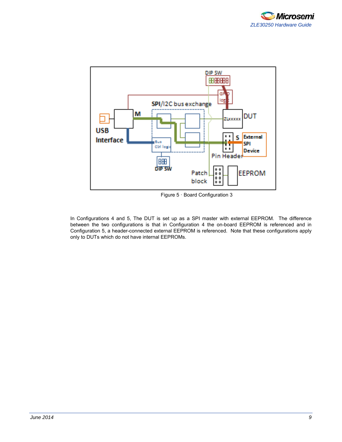



Figure 5 · Board Configuration 3

In Configurations 4 and 5, The DUT is set up as a SPI master with external EEPROM. The difference between the two configurations is that in Configuration 4 the on-board EEPROM is referenced and in Configuration 5, a header-connected external EEPROM is referenced. Note that these configurations apply only to DUTs which do not have internal EEPROMs.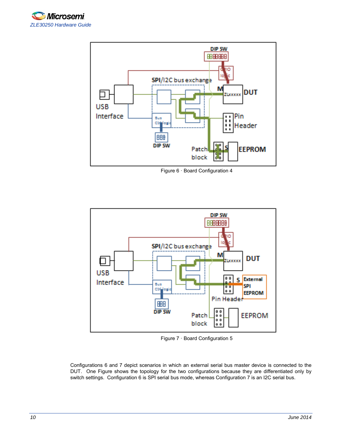



Figure 6 · Board Configuration 4



Figure 7 · Board Configuration 5

Configurations 6 and 7 depict scenarios in which an external serial bus master device is connected to the DUT. One Figure shows the topology for the two configurations because they are differentiated only by switch settings. Configuration 6 is SPI serial bus mode, whereas Configuration 7 is an I2C serial bus.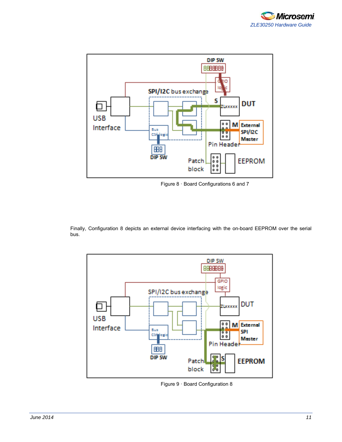



Figure 8 · Board Configurations 6 and 7

Finally, Configuration 8 depicts an external device interfacing with the on-board EEPROM over the serial bus.



Figure 9 · Board Configuration 8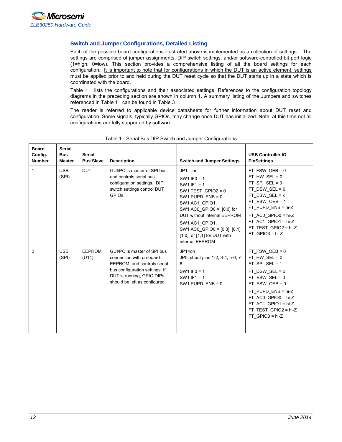

#### **Switch and Jumper Configurations, Detailed Listing**

Each of the possible board configurations illustrated above is implemented as a collection of settings. The settings are comprised of jumper assignments, DIP switch settings, and/or software-controlled bit port logic (1=high, 0=low). This section provides a comprehensive listing of all the board settings for each configuration. It is important to note that for configurations in which the DUT is an active element, settings must be applied prior to and held during the DUT reset cycle so that the DUT starts up in a state which is coordinated with the board.

Table  $1$  · lists the configurations and their associated settings. References to the configuration topology diagrams in the preceding section are shown in column 1. A summary listing of the Jumpers and switches referenced in Table 1 · can be found in Table 3 · .

The reader is referred to applicable device datasheets for further information about DUT reset and configuration. Some signals, typically GPIOs, may change once DUT has initialized. Note: at this time not all configurations are fully supported by software.

| <b>Board</b><br>Config.<br><b>Number</b> | <b>Serial</b><br><b>Bus</b><br><b>Master</b> | <b>Serial</b><br><b>Bus Slave</b> | <b>Description</b>                                                                                                                                                                    | <b>Switch and Jumper Settings</b>                                                                                                                                                                                                                                                  | <b>USB Controller IO</b><br><b>PinSettings</b>                                                                                                                                                                                         |
|------------------------------------------|----------------------------------------------|-----------------------------------|---------------------------------------------------------------------------------------------------------------------------------------------------------------------------------------|------------------------------------------------------------------------------------------------------------------------------------------------------------------------------------------------------------------------------------------------------------------------------------|----------------------------------------------------------------------------------------------------------------------------------------------------------------------------------------------------------------------------------------|
| $\mathbf{1}$                             | <b>USB</b><br>(SPI)                          | <b>DUT</b>                        | GUI/PC is master of SPI bus,<br>and controls serial bus<br>configuration settings. DIP<br>switch settings control DUT<br>GPIO <sub>s</sub>                                            | $JP1 = on$<br>$SW1.F0 = 1$<br>$SW1.IF1 = 1$<br>SW1.TEST GPIO2 = $0$<br>SW1.PUPD $ENB = 0$<br>SW1.AC1 GPIO1,<br>SW1.AC0_GPIO0 = [0,0] for<br>DUT without internal EEPROM<br>SW1.AC1 GPIO1,<br>SW1.AC0_GPIO0 = [0,0], [0,1],<br>$[1,0]$ , or $[1,1]$ for DUT with<br>internal EEPROM | FT FSW OEB = $0$<br>FT HW SEL = $0$<br>FT SPI SEL = $0$<br>FT DSW SEL = $0$<br>FT ESW SEL = $x$<br>FT ESW OEB = $1$<br>FT_PUPD_ENB = hi-Z<br>FT AC0 GPIO0 = hi-Z<br>FT $AC1$ GPIO1 = hi-Z<br>FT TEST GPIO2 = hi-Z<br>$FT$ GPIO3 = hi-Z |
| 2                                        | <b>USB</b><br>(SPI)                          | <b>EEPROM</b><br>(U14)            | GUI/PC Is master of SPI bus<br>connection with on-board<br>EEPROM, and controls serial<br>bus configuration settings If<br>DUT is running, GPIO DIPs<br>should be left as configured. | $JP1=on$<br>JP5: shunt pins 1-2, 3-4, 5-6, 7-<br>8<br>$SW1.F0 = 1$<br>$SW1.IF1 = 1$<br>SW1.PUPD $ENB = 0$                                                                                                                                                                          | FT FSW OEB = $0$<br>FT HW SEL = $0$<br>FT SPI SEL = $1$<br>FT DSW SEL = $x$<br>FT ESW SEL = $0$<br>FT ESW OEB = $0$<br>$FT$ PUPD $ENB = hi-Z$<br>FT_AC0_GPIO0 = hi-Z<br>FT_AC1_GPIO1 = hi-Z<br>FT TEST GPIO2 = hi-Z<br>FT_GPIO3 = hi-Z |

#### Table 1 · Serial Bus DIP Switch and Jumper Configurations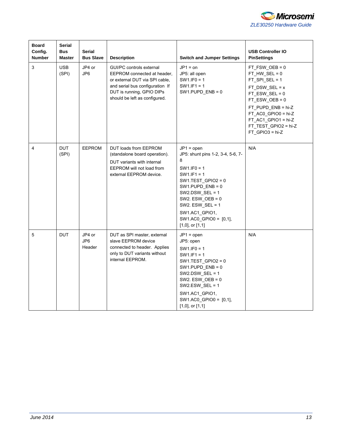

| <b>Board</b><br>Config.<br><b>Number</b> | <b>Serial</b><br><b>Bus</b><br><b>Master</b> | <b>Serial</b><br><b>Bus Slave</b> | <b>Description</b>                                                                                                                                                                         | <b>Switch and Jumper Settings</b>                                                                                                                                                                                                                                           | <b>USB Controller IO</b><br><b>PinSettings</b>                                                                                                                                                                                        |
|------------------------------------------|----------------------------------------------|-----------------------------------|--------------------------------------------------------------------------------------------------------------------------------------------------------------------------------------------|-----------------------------------------------------------------------------------------------------------------------------------------------------------------------------------------------------------------------------------------------------------------------------|---------------------------------------------------------------------------------------------------------------------------------------------------------------------------------------------------------------------------------------|
| 3                                        | <b>USB</b><br>(SPI)                          | JP4 or<br>JP <sub>6</sub>         | GUI/PC controls external<br>EEPROM connected at header,<br>or external DUT via SPI cable,<br>and serial bus configuration If<br>DUT is running, GPIO DIPs<br>should be left as configured. | $JP1 = on$<br>JP5: all open<br>$SW1.IFO = 1$<br>$SW1.IF1 = 1$<br>SW1.PUPD $ENB = 0$                                                                                                                                                                                         | FT FSW OEB = $0$<br>$FT_HW_SEL = 0$<br>FT_SPI_SEL = 1<br>$FT_DSW_SEL = x$<br>FT ESW SEL = $0$<br>$FT$ _ESW_OEB = 0<br>FT_PUPD_ENB = hi-Z<br>FT AC0 GPIO0 = hi-Z<br>$FT_ACI_GPIO1 = hi-Z$<br>FT_TEST_GPIO2 = hi-Z<br>$FT_GPIO3 = hi-Z$ |
| 4                                        | <b>DUT</b><br>(SPI)                          | <b>EEPROM</b>                     | DUT loads from EEPROM<br>(standalone board operation).<br>DUT variants with internal<br>EEPROM will not load from<br>external EEPROM device.                                               | $JP1 = open$<br>JP5: shunt pins 1-2, 3-4, 5-6, 7-<br>8<br>$SW1.IFO = 1$<br>$SW1.IF1 = 1$<br>$SW1.TEST_GPIO2 = 0$<br>$SW1.PUPD ENB = 0$<br>$SW2.DSW_SEL = 1$<br>SW2. ESW OEB = $0$<br>SW2. ESW_SEL = $1$<br>SW1.AC1_GPIO1,<br>SW1.AC0_GPIO0 = [0,1],<br>$[1,0]$ , or $[1,1]$ | N/A                                                                                                                                                                                                                                   |
| 5                                        | <b>DUT</b>                                   | JP4 or<br>JP6<br>Header           | DUT as SPI master, external<br>slave EEPROM device<br>connected to header. Applies<br>only to DUT variants without<br>internal EEPROM.                                                     | $JP1 = open$<br>JP5: open<br>$SW1.IFO = 1$<br>$SW1.IF1 = 1$<br>$SW1.TEST_GPIO2 = 0$<br>$SW1.PUPD_ENB = 0$<br>$SW2.DSW_SEL = 1$<br>SW2. ESW OEB = $0$<br>SW2.ESW SEL = $1$<br>SW1.AC1_GPIO1,<br>SW1.AC0_GPIO0 = [0,1],<br>$[1,0]$ , or $[1,1]$                               | N/A                                                                                                                                                                                                                                   |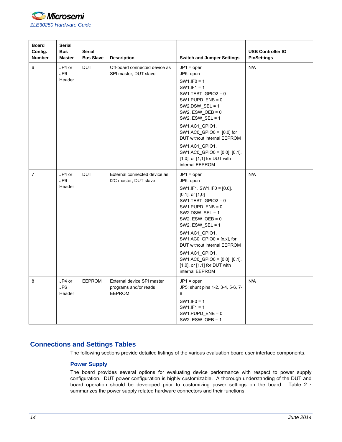

| <b>Board</b><br>Config.<br><b>Number</b> | <b>Serial</b><br><b>Bus</b><br><b>Master</b> | <b>Serial</b><br><b>Bus Slave</b> | <b>Description</b>                                                   | <b>Switch and Jumper Settings</b>                                                                                                                                                                                                                                                                                                                                                           | <b>USB Controller IO</b><br><b>PinSettings</b> |
|------------------------------------------|----------------------------------------------|-----------------------------------|----------------------------------------------------------------------|---------------------------------------------------------------------------------------------------------------------------------------------------------------------------------------------------------------------------------------------------------------------------------------------------------------------------------------------------------------------------------------------|------------------------------------------------|
| 6                                        | JP4 or<br>JP6<br>Header                      | <b>DUT</b>                        | Off-board connected device as<br>SPI master, DUT slave               | $JP1 = open$<br>JP5: open<br>$SW1.F0 = 1$<br>$SW1.IF1 = 1$<br>$SW1.TEST_GPIO2 = 0$<br>$SW1.PUPD ENB = 0$<br>$SW2.DSW_SEL = 1$<br>SW2. ESW OEB = $0$<br>SW2. ESW_SEL = $1$<br>SW1.AC1_GPIO1,<br>SW1.AC0_GPIO0 = [0,0] for<br>DUT without internal EEPROM<br>SW1.AC1_GPIO1,<br>SW1.AC0_GPIO0 = [0,0], [0,1],<br>[1,0], or [1,1] for DUT with<br>internal EEPROM                               | N/A                                            |
| $\overline{7}$                           | JP4 or<br>JP6<br>Header                      | <b>DUT</b>                        | External connected device as<br>I2C master, DUT slave                | $JP1 = open$<br>JP5: open<br>SW1.IF1, SW1.IF0 = [0,0],<br>$[0,1]$ , or $[1,0]$<br>$SW1.TEST_GPIO2 = 0$<br>SW1.PUPD $ENB = 0$<br>$SW2.DSW_SEL = 1$<br>SW2. ESW_OEB = $0$<br>$SW2.$ ESW_SEL = 1<br>SW1.AC1 GPIO1,<br>SW1.AC0 GPIO0 = $[x, x]$ , for<br>DUT without internal EEPROM<br>SW1.AC1 GPIO1,<br>SW1.AC0_GPIO0 = [0,0], [0,1],<br>$[1,0]$ , or $[1,1]$ for DUT with<br>internal EEPROM | N/A                                            |
| 8                                        | JP4 or<br>JP6<br>Header                      | <b>EEPROM</b>                     | External device SPI master<br>programs and/or reads<br><b>EEPROM</b> | $JP1 = open$<br>JP5: shunt pins 1-2, 3-4, 5-6, 7-<br>8<br>$SW1.F0 = 1$<br>$SW1.IF1 = 1$<br>$SW1.PUPD_ENB = 0$<br>SW2. ESW OEB = $1$                                                                                                                                                                                                                                                         | N/A                                            |

#### **Connections and Settings Tables**

The following sections provide detailed listings of the various evaluation board user interface components.

#### **Power Supply**

The board provides several options for evaluating device performance with respect to power supply configuration. DUT power configuration is highly customizable. A thorough understanding of the DUT and board operation should be developed prior to customizing power settings on the board. Table 2 · summarizes the power supply related hardware connectors and their functions.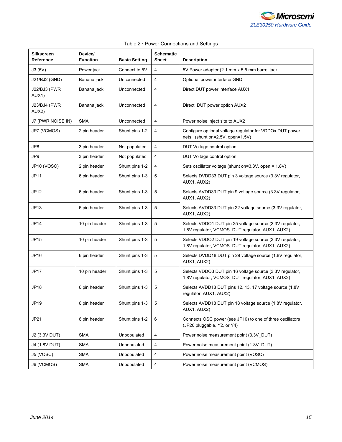

| <b>Silkscreen</b><br>Reference | Device/<br>Function | <b>Basic Setting</b> | <b>Schematic</b><br><b>Sheet</b> | <b>Description</b>                                                                                           |
|--------------------------------|---------------------|----------------------|----------------------------------|--------------------------------------------------------------------------------------------------------------|
| J3(5V)                         | Power jack          | Connect to 5V        | 4                                | 5V Power adapter (2.1 mm x 5.5 mm barrel jack                                                                |
| J21/BJ2 (GND)                  | Banana jack         | Unconnected          | 4                                | Optional power interface GND                                                                                 |
| J22/BJ3 (PWR<br>AUX1)          | Banana jack         | Unconnected          | $\overline{4}$                   | Direct DUT power interface AUX1                                                                              |
| J23/BJ4 (PWR<br>AUX2)          | Banana jack         | Unconnected          | $\overline{4}$                   | Direct DUT power option AUX2                                                                                 |
| J7 (PWR NOISE IN)              | <b>SMA</b>          | Unconnected          | $\overline{4}$                   | Power noise inject site to AUX2                                                                              |
| JP7 (VCMOS)                    | 2 pin header        | Shunt pins 1-2       | 4                                | Configure optional voltage regulator for VDDOx DUT power<br>nets. (shunt on=2.5V, open=1.5V)                 |
| JP8                            | 3 pin header        | Not populated        | $\overline{4}$                   | DUT Voltage control option                                                                                   |
| JP9                            | 3 pin header        | Not populated        | 4                                | DUT Voltage control option                                                                                   |
| JP10 (VOSC)                    | 2 pin header        | Shunt pins 1-2       | $\overline{4}$                   | Sets oscillator voltage (shunt on=3.3V, open = 1.8V)                                                         |
| <b>JP11</b>                    | 6 pin header        | Shunt pins 1-3       | 5                                | Selects DVDD33 DUT pin 3 voltage source (3.3V regulator,<br>AUX1, AUX2)                                      |
| JP12                           | 6 pin header        | Shunt pins 1-3       | 5                                | Selects AVDD33 DUT pin 9 voltage source (3.3V regulator,<br>AUX1, AUX2)                                      |
| JP13                           | 6 pin header        | Shunt pins 1-3       | 5                                | Selects AVDD33 DUT pin 22 voltage source (3.3V regulator,<br>AUX1, AUX2)                                     |
| JP14                           | 10 pin header       | Shunt pins 1-3       | 5                                | Selects VDDO1 DUT pin 25 voltage source (3.3V regulator,<br>1.8V regulator, VCMOS_DUT regulator, AUX1, AUX2) |
| JP15                           | 10 pin header       | Shunt pins 1-3       | 5                                | Selects VDDO2 DUT pin 19 voltage source (3.3V regulator,<br>1.8V regulator, VCMOS_DUT regulator, AUX1, AUX2) |
| JP16                           | 6 pin header        | Shunt pins 1-3       | 5                                | Selects DVDD18 DUT pin 29 voltage source (1.8V regulator,<br>AUX1, AUX2)                                     |
| JP17                           | 10 pin header       | Shunt pins 1-3       | 5                                | Selects VDDO3 DUT pin 16 voltage source (3.3V regulator,<br>1.8V regulator, VCMOS_DUT regulator, AUX1, AUX2) |
| JP18                           | 6 pin header        | Shunt pins 1-3       | 5                                | Selects AVDD18 DUT pins 12, 13, 17 voltage source (1.8V<br>regulator, AUX1, AUX2)                            |
| JP19                           | 6 pin header        | Shunt pins 1-3       | 5                                | Selects AVDD18 DUT pin 18 voltage source (1.8V regulator,<br>AUX1, AUX2)                                     |
| JP21                           | 6 pin header        | Shunt pins 1-2       | 6                                | Connects OSC power (see JP10) to one of three oscillators<br>(JP20 pluggable, Y2, or Y4)                     |
| J2 (3.3V DUT)                  | <b>SMA</b>          | Unpopulated          | 4                                | Power noise measurement point (3.3V DUT)                                                                     |
| J4 (1.8V DUT)                  | <b>SMA</b>          | Unpopulated          | 4                                | Power noise measurement point (1.8V DUT)                                                                     |
| J5 (VOSC)                      | <b>SMA</b>          | Unpopulated          | 4                                | Power noise measurement point (VOSC)                                                                         |
| J6 (VCMOS)                     | <b>SMA</b>          | Unpopulated          | 4                                | Power noise measurement point (VCMOS)                                                                        |

#### Table 2 · Power Connections and Settings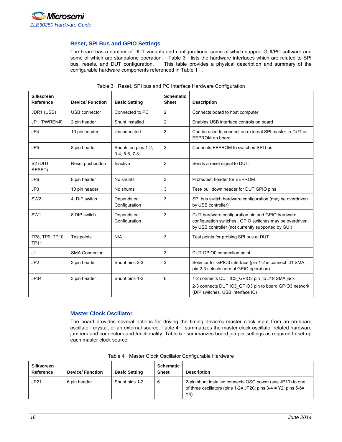

#### **Reset, SPI Bus and GPIO Settings**

The board has a number of DUT variants and configurations, some of which support GUI/PC software and some of which are standalone operation. Table 3 · lists the hardware interfaces which are related to SPI bus, resets, and DUT configuration. This table provides a physical description and summary of the configurable hardware components referenced in Table 1 · .

| <b>Silkscreen</b><br>Reference | <b>Device/Function</b> | <b>Basic Setting</b>                   | <b>Schematic</b><br><b>Sheet</b> | <b>Description</b>                                                                                                                                                 |
|--------------------------------|------------------------|----------------------------------------|----------------------------------|--------------------------------------------------------------------------------------------------------------------------------------------------------------------|
| JDR1 (USB)                     | USB connector          | Connected to PC                        | $\overline{2}$                   | Connects board to host computer                                                                                                                                    |
| JP1 (PWREN#)                   | 2 pin header           | Shunt installed                        | 2                                | Enables USB interface controls on board                                                                                                                            |
| JP4                            | 10 pin header          | Unconnected                            | 3                                | Can be used to connect an external SPI master to DUT or<br>EEPROM on board                                                                                         |
| JP <sub>5</sub>                | 8 pin header           | Shunts on pins 1-2,<br>$3-4, 5-6, 7-8$ | 3                                | Connects EEPROM to switched SPI bus                                                                                                                                |
| S2 (DUT<br>RESET)              | Reset pushbutton       | Inactive                               | $\overline{2}$                   | Sends a reset signal to DUT.                                                                                                                                       |
| JP6                            | 8 pin header           | No shunts                              | 3                                | Probe/test header for EEPROM                                                                                                                                       |
| JP3                            | 10 pin header          | No shunts                              | 3                                | Test/ pull down header for DUT GPIO pins                                                                                                                           |
| SW <sub>2</sub>                | 4 DIP switch           | Depends on<br>Configuration            | 3                                | SPI bus switch hardware configuration (may be overdriven<br>by USB controller)                                                                                     |
| SW <sub>1</sub>                | 8 DIP switch           | Depends on<br>Configuration            | 3                                | DUT hardware configuration pin and GPIO hardware<br>configuration switches . GPIO switches may be overdriven<br>by USB controller (not currently supported by GUI) |
| TP8, TP9, TP10,<br><b>TP11</b> | Testpoints             | N/A                                    | 3                                | Test points for probing SPI bus at DUT                                                                                                                             |
| J <sub>1</sub>                 | <b>SMA Connector</b>   |                                        | 3                                | DUT GPIO0 connection point                                                                                                                                         |
| JP <sub>2</sub>                | 3 pin header           | Shunt pins 2-3                         | 3                                | Selector for GPIO0 interface (pin 1-2 is connect J1 SMA,<br>pin 2-3 selects normal GPIO operation)                                                                 |
| JP34                           | 3 pin header           | Shunt pins 1-2                         | 6                                | 1-2 connects DUT IC3_GPIO3 pin to J19 SMA jack                                                                                                                     |
|                                |                        |                                        |                                  | 2-3 connects DUT IC3_GPIO3 pin to board GPIO3 network<br>(DIP switches, USB interface IC)                                                                          |

|  |  |  | Table 3 · Reset, SPI bus and PC Interface Hardware Configuration |
|--|--|--|------------------------------------------------------------------|
|  |  |  |                                                                  |

#### **Master Clock Oscillator**

The board provides several options for driving the timing device's master clock input from an on-board oscillator, crystal, or an external source. Table 4 · summarizes the master clock oscillator related hardware jumpers and connectors and functionality. Table  $5 \cdot$  summarizes board jumper settings as required to set up each master clock source.

| <b>Silkscreen</b><br>Reference | <b>Device/Function</b> | <b>Basic Setting</b> | <b>Schematic</b><br><b>Sheet</b> | <b>Description</b>                                                                                                                       |
|--------------------------------|------------------------|----------------------|----------------------------------|------------------------------------------------------------------------------------------------------------------------------------------|
| JP21                           | 6 pin header           | Shunt pins 1-2       | 6                                | 2-pin shunt installed connects OSC power (see JP10) to one<br>of three oscillators (pins $1-2=$ JP20; pins $3-4=$ Y2; pins $5-6=$<br>Y4) |

|  |  | Table 4 · Master Clock Oscillator Configurable Hardware |  |
|--|--|---------------------------------------------------------|--|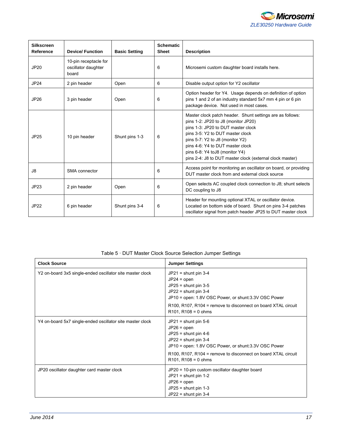

| <b>Silkscreen</b><br>Reference | <b>Device/Function</b>                                | <b>Basic Setting</b> | <b>Schematic</b><br><b>Sheet</b> | <b>Description</b>                                                                                                                                                                                                                                                                                                                               |
|--------------------------------|-------------------------------------------------------|----------------------|----------------------------------|--------------------------------------------------------------------------------------------------------------------------------------------------------------------------------------------------------------------------------------------------------------------------------------------------------------------------------------------------|
| JP20                           | 10-pin receptacle for<br>oscillator daughter<br>board |                      | 6                                | Microsemi custom daughter board installs here.                                                                                                                                                                                                                                                                                                   |
| JP24                           | 2 pin header                                          | Open                 | 6                                | Disable output option for Y2 oscillator                                                                                                                                                                                                                                                                                                          |
| JP26                           | 3 pin header                                          | Open                 | 6                                | Option header for Y4. Usage depends on definition of option<br>pins 1 and 2 of an industry standard 5x7 mm 4 pin or 6 pin<br>package device. Not used in most cases.                                                                                                                                                                             |
| JP25                           | 10 pin header                                         | Shunt pins 1-3       | 6                                | Master clock patch header. Shunt settings are as follows:<br>pins 1-2: JP20 to J8 (monitor JP20)<br>pins 1-3: JP20 to DUT master clock<br>pins 3-5: Y2 to DUT master clock<br>pins 5-7: Y2 to J8 (monitor Y2)<br>pins 4-6: Y4 to DUT master clock<br>pins 6-8: Y4 to J8 (monitor Y4)<br>pins 2-4: J8 to DUT master clock (external clock master) |
| J8                             | SMA connector                                         |                      | 6                                | Access point for monitoring an oscillator on board, or providing<br>DUT master clock from and external clock source                                                                                                                                                                                                                              |
| JP23                           | 2 pin header                                          | Open                 | 6                                | Open selects AC coupled clock connection to J8; shunt selects<br>DC coupling to J8                                                                                                                                                                                                                                                               |
| JP22                           | 6 pin header                                          | Shunt pins 3-4       | 6                                | Header for mounting optional XTAL or oscillator device.<br>Located on bottom side of board. Shunt on pins 3-4 patches<br>oscillator signal from patch header JP25 to DUT master clock                                                                                                                                                            |

Table 5 · DUT Master Clock Source Selection Jumper Settings

| <b>Clock Source</b>                                       | <b>Jumper Settings</b>                                                                                                                                                                                                                        |
|-----------------------------------------------------------|-----------------------------------------------------------------------------------------------------------------------------------------------------------------------------------------------------------------------------------------------|
| Y2 on-board 3x5 single-ended oscillator site master clock | $JP21 =$ shunt pin 3-4<br>$JP24 = open$<br>$JP25 =$ shunt pin 3-5<br>$JP22 = shunt pin 3-4$<br>JP10 = open: 1.8V OSC Power, or shunt:3.3V OSC Power<br>R100, R107, R104 = remove to disconnect on board XTAL circuit<br>$R101, R108 = 0$ ohms |
| Y4 on-board 5x7 single-ended oscillator site master clock | $JP21 =$ shunt pin 5-6<br>$JP26 = open$<br>$JP25 =$ shunt pin 4-6<br>$JP22 = shunt pin 3-4$<br>JP10 = open: 1.8V OSC Power, or shunt:3.3V OSC Power<br>R100, R107, R104 = remove to disconnect on board XTAL circuit<br>$R101, R108 = 0$ ohms |
| JP20 oscillator daughter card master clock                | JP20 = 10-pin custom oscillator daughter board<br>$JP21 = shunt pin 1-2$<br>$JP26 = open$<br>$JP25 = shunt pin 1-3$<br>$JP22 = shunt pin 3-4$                                                                                                 |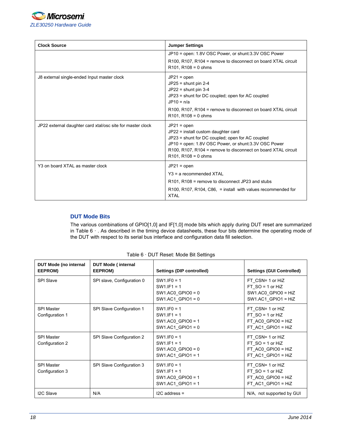

| <b>Clock Source</b>                                        | <b>Jumper Settings</b>                                                                                                                                                                                                                                       |
|------------------------------------------------------------|--------------------------------------------------------------------------------------------------------------------------------------------------------------------------------------------------------------------------------------------------------------|
|                                                            | JP10 = open: 1.8V OSC Power, or shunt:3.3V OSC Power                                                                                                                                                                                                         |
|                                                            | R100, R107, R104 = remove to disconnect on board XTAL circuit<br>$R101, R108 = 0$ ohms                                                                                                                                                                       |
| J8 external single-ended Input master clock                | $JP21 = open$<br>$JP25 = shunt pin 2-4$<br>$JP22 = shunt pin 3-4$<br>$JP23$ = shunt for DC coupled; open for AC coupled<br>$JP10 = n/a$                                                                                                                      |
|                                                            | R100, R107, R104 = remove to disconnect on board XTAL circuit<br>$R101, R108 = 0$ ohms                                                                                                                                                                       |
| JP22 external daughter card xtal/osc site for master clock | $JP21 = open$<br>$JP22$ = install custom daughter card<br>JP23 = shunt for DC coupled; open for AC coupled<br>JP10 = open: 1.8V OSC Power, or shunt:3.3V OSC Power<br>R100, R107, R104 = remove to disconnect on board XTAL circuit<br>$R101, R108 = 0$ ohms |
| Y3 on board XTAL as master clock                           | $JP21 = open$<br>$Y3 = a$ recommended $XTAL$                                                                                                                                                                                                                 |
|                                                            | R101, R108 = remove to disconnect JP23 and stubs                                                                                                                                                                                                             |
|                                                            | R100, R107, R104, C86, $=$ install with values recommended for<br><b>XTAL</b>                                                                                                                                                                                |

#### **DUT Mode Bits**

The various combinations of GPIO[1,0] and IF[1,0] mode bits which apply during DUT reset are summarized in Table 6 · . As described in the timing device datasheets, these four bits determine the operating mode of the DUT with respect to its serial bus interface and configuration data fill selection.

| <b>DUT Mode (no internal</b><br>EEPROM) | <b>DUT Mode (internal</b><br>EEPROM) | Settings (DIP controlled)                                                   | <b>Settings (GUI Controlled)</b>                                                     |
|-----------------------------------------|--------------------------------------|-----------------------------------------------------------------------------|--------------------------------------------------------------------------------------|
| <b>SPI Slave</b>                        | SPI slave, Configuration 0           | $SW1.IFO = 1$<br>$SW1.F1 = 1$<br>SW1.AC0 GPIO0 = $0$<br>SW1.AC1 GPIO1 = $0$ | FT CSN= 1 or HiZ<br>FT $SO = 1$ or HiZ<br>SW1.AC0 GPIO0 = HiZ<br>SW1.AC1_GPIO1 = HiZ |
| <b>SPI Master</b><br>Configuration 1    | SPI Slave Configuration 1            | $SW1.IFO = 1$<br>$SW1.F1 = 1$<br>$SW1.ACO$ GPIO0 = 1<br>SW1.AC1 GPIO1 = $0$ | FT CSN= 1 or HiZ<br>FT $SO = 1$ or HiZ<br>FT_AC0_GPIO0 = HiZ<br>FT AC1 GPIO1 = $Hiz$ |
| <b>SPI Master</b><br>Configuration 2    | SPI Slave Configuration 2            | $SW1.IFO = 1$<br>$SW1.F1 = 1$<br>$SW1.ACO$ GPIO0 = 0<br>SW1.AC1 GPIO1 = 1   | FT CSN= 1 or HiZ<br>FT $SO = 1$ or HiZ<br>FT AC0 GPIO0 = HiZ<br>FT AC1 GPIO1 = $Hiz$ |
| <b>SPI Master</b><br>Configuration 3    | SPI Slave Configuration 3            | $SW1.F0 = 1$<br>$SW1.F1 = 1$<br>$SW1.ACO$ GPIO0 = 1<br>SW1.AC1 GPIO1 = 1    | FT CSN= 1 or HiZ<br>FT $SO = 1$ or HiZ<br>FT_AC0_GPIO0 = HiZ<br>FT AC1 GPIO1 = HiZ   |
| I2C Slave                               | N/A                                  | $IC$ address =                                                              | N/A, not supported by GUI                                                            |

Table 6 · DUT Reset: Mode Bit Settings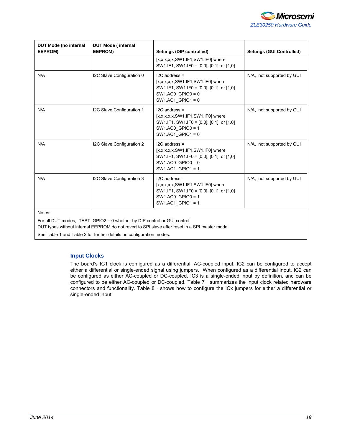

| <b>DUT Mode (no internal</b><br>EEPROM) | <b>DUT Mode (internal</b><br>EEPROM)                                     | Settings (DIP controlled)                                                                                                                          | <b>Settings (GUI Controlled)</b> |
|-----------------------------------------|--------------------------------------------------------------------------|----------------------------------------------------------------------------------------------------------------------------------------------------|----------------------------------|
|                                         |                                                                          | $[x, x, x, x, SW1$ . IF1, SW1. IF0] where<br>SW1.IF1, SW1.IF0 = [0,0], [0,1], or [1,0]                                                             |                                  |
| N/A                                     | I2C Slave Configuration 0                                                | $IC$ address =<br>[x,x,x,x,x,SW1.IF1,SW1.IF0] where<br>SW1.IF1, SW1.IF0 = [0,0], [0,1], or [1,0]<br>SW1.AC0 GPIO0 = $0$<br>SW1.AC1 GPIO1 = $0$     | N/A, not supported by GUI        |
| N/A                                     | I2C Slave Configuration 1                                                | $IC$ address =<br>$[x, x, x, x, SWA$ IF1, SW1. IF0] where<br>SW1.IF1, SW1.IF0 = [0,0], [0,1], or [1,0]<br>SW1.AC0 GPIO0 = 1<br>SW1.AC1 GPIO1 = $0$ | N/A, not supported by GUI        |
| N/A                                     | I2C Slave Configuration 2                                                | $IC$ address =<br>[x,x,x,x,x,SW1.IF1,SW1.IF0] where<br>SW1.IF1, SW1.IF0 = [0,0], [0,1], or [1,0]<br>SW1.AC0 GPIO0 = $0$<br>SW1.AC1_GPIO1 = 1       | N/A, not supported by GUI        |
| N/A                                     | I2C Slave Configuration 3                                                | $IC$ address =<br>$[x, x, x, x, SWA$ . IF1, SW1. IF0] where<br>SW1.IF1, SW1.IF0 = [0,0], [0,1], or [1,0]<br>SW1.AC0 GPIO0 = 1<br>SW1.AC1_GPIO1 = 1 | N/A, not supported by GUI        |
| Notes:                                  | For all DUT modes, TEST GPIO2 = 0 whether by DIP control or GUI control. | DUT types without internal EEPROM do not revert to SPI slave after reset in a SPI master mode.                                                     |                                  |

See Table 1 and Table 2 for further details on configuration modes.

#### **Input Clocks**

The board's IC1 clock is configured as a differential, AC-coupled input. IC2 can be configured to accept either a differential or single-ended signal using jumpers. When configured as a differential input, IC2 can be configured as either AC-coupled or DC-coupled. IC3 is a single-ended input by definition, and can be configured to be either AC-coupled or DC-coupled. Table 7 · summarizes the input clock related hardware connectors and functionality. Table 8 · shows how to configure the ICx jumpers for either a differential or single-ended input.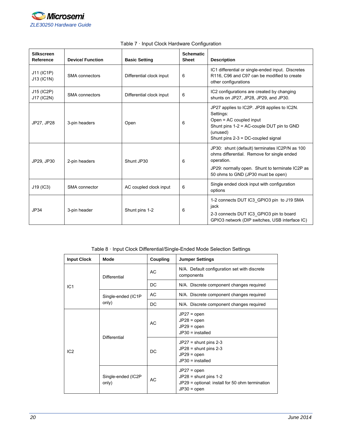

| <b>Silkscreen</b><br>Reference | <b>Device/Function</b> | <b>Basic Setting</b>     | <b>Schematic</b><br><b>Sheet</b> | <b>Description</b>                                                                                                                                                                                  |
|--------------------------------|------------------------|--------------------------|----------------------------------|-----------------------------------------------------------------------------------------------------------------------------------------------------------------------------------------------------|
| J11 (IC1P)<br>J13 (IC1N)       | SMA connectors         | Differential clock input | 6                                | IC1 differential or single-ended input. Discretes<br>R116, C96 and C97 can be modified to create<br>other configurations                                                                            |
| J15 (IC2P)<br>J17 (IC2N)       | SMA connectors         | Differential clock input | 6                                | IC2 configurations are created by changing<br>shunts on JP27, JP28, JP29, and JP30.                                                                                                                 |
| JP27, JP28                     | 3-pin headers          | Open                     | 6                                | JP27 applies to IC2P. JP28 applies to IC2N.<br>Settings:<br>Open = AC coupled input<br>Shunt pins 1-2 = AC-couple DUT pin to GND<br>(unused)<br>Shunt pins $2-3 = DC$ -coupled signal               |
| JP29, JP30                     | 2-pin headers          | Shunt JP30               | 6                                | JP30: shunt (default) terminates IC2P/N as 100<br>ohms differential. Remove for single ended<br>operation.<br>JP29: normally open. Shunt to terminate IC2P as<br>50 ohms to GND (JP30 must be open) |
| J19 (IC3)                      | SMA connector          | AC coupled clock input   | 6                                | Single ended clock input with configuration<br>options                                                                                                                                              |
| JP34                           | 3-pin header           | Shunt pins 1-2           | 6                                | 1-2 connects DUT IC3 GPIO3 pin to J19 SMA<br>jack<br>2-3 connects DUT IC3 GPIO3 pin to board<br>GPIO3 network (DIP switches, USB interface IC)                                                      |

#### Table 7 · Input Clock Hardware Configuration

Table 8 · Input Clock Differential/Single-Ended Mode Selection Settings

| <b>Input Clock</b> | Mode                        | Coupling                                                                                         | <b>Jumper Settings</b>                                                                                       |
|--------------------|-----------------------------|--------------------------------------------------------------------------------------------------|--------------------------------------------------------------------------------------------------------------|
|                    | <b>Differential</b>         | AC                                                                                               | N/A. Default configuration set with discrete<br>components                                                   |
| IC1                |                             | DC                                                                                               | N/A. Discrete component changes required                                                                     |
|                    | Single-ended (IC1P<br>only) | AC                                                                                               | N/A. Discrete component changes required                                                                     |
|                    |                             | DC                                                                                               | N/A. Discrete component changes required                                                                     |
| IC2                |                             | AC                                                                                               | $JP27 = open$<br>$JP28 = open$<br>$JP29 = open$<br>$JP30 = installed$                                        |
|                    | <b>Differential</b>         | $JP27 =$ shunt pins 2-3<br>$JP28 =$ shunt pins 2-3<br>DC.<br>$JP29 = open$<br>$JP30 = installed$ |                                                                                                              |
|                    | Single-ended (IC2P<br>only) | AC                                                                                               | $JP27 = open$<br>$JP28 = shunt pins 1-2$<br>JP29 = optional: install for 50 ohm termination<br>$JP30 = open$ |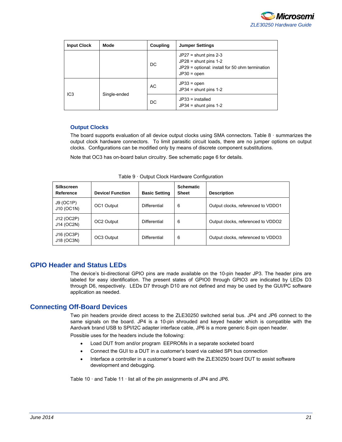

| <b>Input Clock</b> | Mode         | Coupling | <b>Jumper Settings</b>                                                                                                 |
|--------------------|--------------|----------|------------------------------------------------------------------------------------------------------------------------|
|                    |              | DC       | $JP27 =$ shunt pins 2-3<br>$JP28 = shunt pins 1-2$<br>JP29 = optional: install for 50 ohm termination<br>$JP30 = open$ |
|                    |              | AC       | $JP33 = open$<br>$JP34 =$ shunt pins 1-2                                                                               |
| IC <sub>3</sub>    | Single-ended | DC       | $JP33 =$ installed<br>$JP34 = shunt pins 1-2$                                                                          |

#### **Output Clocks**

The board supports evaluation of all device output clocks using SMA connectors. Table 8 · summarizes the output clock hardware connectors. To limit parasitic circuit loads, there are no jumper options on output clocks. Configurations can be modified only by means of discrete component substitutions.

Note that OC3 has on-board balun circuitry. See schematic page 6 for details.

| <b>Silkscreen</b><br>Reference | <b>Device/Function</b> | <b>Basic Setting</b> | <b>Schematic</b><br><b>Sheet</b> | <b>Description</b>                 |
|--------------------------------|------------------------|----------------------|----------------------------------|------------------------------------|
| J9 (OC1P)<br>J10 (OC1N)        | OC1 Output             | Differential         | 6                                | Output clocks, referenced to VDDO1 |
| J12 (OC2P)<br>J14 (OC2N)       | OC2 Output             | Differential         | 6                                | Output clocks, referenced to VDDO2 |
| J16 (OC3P)<br>J18 (OC3N)       | OC3 Output             | Differential         | -6                               | Output clocks, referenced to VDDO3 |

Table 9 · Output Clock Hardware Configuration

#### **GPIO Header and Status LEDs**

The device's bi-directional GPIO pins are made available on the 10-pin header JP3. The header pins are labeled for easy identification. The present states of GPIO0 through GPIO3 are indicated by LEDs D3 through D6, respectively. LEDs D7 through D10 are not defined and may be used by the GUI/PC software application as needed.

#### **Connecting Off-Board Devices**

Two pin headers provide direct access to the ZLE30250 switched serial bus. JP4 and JP6 connect to the same signals on the board. JP4 is a 10-pin shrouded and keyed header which is compatible with the Aardvark brand USB to SPI/I2C adapter interface cable, JP6 is a more generic 8-pin open header.

Possible uses for the headers include the following:

- Load DUT from and/or program EEPROMs in a separate socketed board
- Connect the GUI to a DUT in a customer's board via cabled SPI bus connection
- Interface a controller in a customer's board with the ZLE30250 board DUT to assist software development and debugging.

Table 10  $\cdot$  and Table 11  $\cdot$  list all of the pin assignments of JP4 and JP6.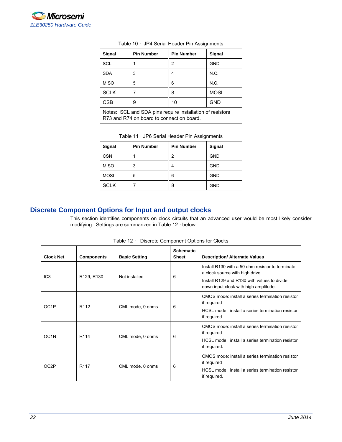

| Signal                                                                                                 | <b>Pin Number</b> | <b>Pin Number</b> | Signal      |
|--------------------------------------------------------------------------------------------------------|-------------------|-------------------|-------------|
| <b>SCL</b>                                                                                             |                   | 2                 | <b>GND</b>  |
| <b>SDA</b>                                                                                             | 3                 | 4                 | N.C.        |
| <b>MISO</b>                                                                                            | 5                 | 6                 | N.C.        |
| <b>SCLK</b>                                                                                            |                   | 8                 | <b>MOSI</b> |
| CSB                                                                                                    | 9                 | 10                | <b>GND</b>  |
| Notes: SCL and SDA pins require installation of resistors<br>R73 and R74 on board to connect on board. |                   |                   |             |

| Signal      | <b>Pin Number</b> | <b>Pin Number</b> | Signal     |
|-------------|-------------------|-------------------|------------|
| <b>CSN</b>  |                   | 2                 | <b>GND</b> |
| <b>MISO</b> | 3                 | 4                 | <b>GND</b> |
| <b>MOSI</b> | 5                 | 6                 | <b>GND</b> |
| <b>SCLK</b> |                   | 8                 | <b>GND</b> |

#### **Discrete Component Options for Input and output clocks**

This section identifies components on clock circuits that an advanced user would be most likely consider modifying. Settings are summarized in Table 12 · below.

| <b>Clock Net</b>  | <b>Components</b>                   | <b>Basic Setting</b> | <b>Schematic</b><br><b>Sheet</b> | <b>Description/ Alternate Values</b>                                                                                                                                       |
|-------------------|-------------------------------------|----------------------|----------------------------------|----------------------------------------------------------------------------------------------------------------------------------------------------------------------------|
| IC <sub>3</sub>   | R <sub>129</sub> , R <sub>130</sub> | Not installed        | 6                                | Install R130 with a 50 ohm resistor to terminate<br>a clock source with high drive<br>Install R129 and R130 with values to divide<br>down input clock with high amplitude. |
| OC <sub>1</sub> P | R <sub>112</sub>                    | CML mode, 0 ohms     | 6                                | CMOS mode: install a series termination resistor<br>if required<br>HCSL mode: install a series termination resistor<br>if required.                                        |
| OC <sub>1</sub> N | R <sub>114</sub>                    | CML mode, 0 ohms     | 6                                | CMOS mode: install a series termination resistor<br>if required<br>HCSL mode: install a series termination resistor<br>if required.                                        |
| OC <sub>2</sub> P | R <sub>117</sub>                    | CML mode, 0 ohms     | 6                                | CMOS mode: install a series termination resistor<br>if required<br>HCSL mode: install a series termination resistor<br>if required.                                        |

Table 12 · Discrete Component Options for Clocks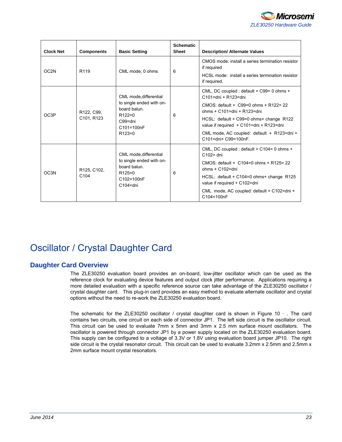

| <b>Clock Net</b>  | <b>Components</b>                                                           | <b>Basic Setting</b>                                                                                                    | <b>Schematic</b><br><b>Sheet</b> | <b>Description/ Alternate Values</b>                                               |
|-------------------|-----------------------------------------------------------------------------|-------------------------------------------------------------------------------------------------------------------------|----------------------------------|------------------------------------------------------------------------------------|
| OC <sub>2N</sub>  | R <sub>119</sub>                                                            | CML mode, 0 ohms                                                                                                        | 6                                | CMOS mode: install a series termination resistor<br>if required                    |
|                   |                                                                             |                                                                                                                         |                                  | HCSL mode: install a series termination resistor<br>if required.                   |
| OC3P              | R <sub>122</sub> , C <sub>99</sub> ,<br>C <sub>101</sub> , R <sub>123</sub> | CML mode, differential<br>to single ended with on-<br>board balun.<br>$R122=0$<br>C99=dni<br>C101=100nF<br>$R123=0$     | 6                                | CML, DC coupled: default + C99= 0 ohms +<br>C101=dni + R123=dni                    |
|                   |                                                                             |                                                                                                                         |                                  | $CMOS$ : default + C99=0 ohms + R122= 22<br>ohms + C101=dni + R123=dni             |
|                   |                                                                             |                                                                                                                         |                                  | HCSL: default + C99=0 ohms+ change R122<br>value if required + C101=dni + R123=dni |
|                   |                                                                             |                                                                                                                         |                                  | CML mode, AC coupled: default + R123=dni +<br>$C101 = dn + C99 = 100nF$            |
| OC <sub>3</sub> N | R <sub>125</sub> , C <sub>102</sub> ,<br>C <sub>104</sub>                   | CML mode, differential<br>to single ended with on-<br>board balun.<br>R <sub>125</sub> =0<br>C102=100nF<br>$C104 = dni$ | 6                                | CML, DC coupled: default + C104= 0 ohms +<br>$C102 = dni$                          |
|                   |                                                                             |                                                                                                                         |                                  | $CMOS:$ default + $C104=0$ ohms + R125= 22<br>$ohms + C102 = dni$                  |
|                   |                                                                             |                                                                                                                         |                                  | HCSL: default + C104=0 ohms+ change R125<br>value if required + C102=dni           |
|                   |                                                                             |                                                                                                                         |                                  | CML mode, AC coupled: default + C102=dni +<br>C104=100nF                           |

## Oscillator / Crystal Daughter Card

#### **Daughter Card Overview**

The ZLE30250 evaluation board provides an on-board, low-jitter oscillator which can be used as the reference clock for evaluating device features and output clock jitter performance. Applications requiring a more detailed evaluation with a specific reference source can take advantage of the ZLE30250 oscillator / crystal daughter card. This plug-in card provides an easy method to evaluate alternate oscillator and crystal options without the need to re-work the ZLE30250 evaluation board.

The schematic for the ZLE30250 oscillator / crystal daughter card is shown in Figure 10  $\cdot$ . The card contains two circuits, one circuit on each side of connector JP1. The left side circuit is the oscillator circuit. This circuit can be used to evaluate 7mm x 5mm and 3mm x 2.5 mm surface mount oscillators. The oscillator is powered through connector JP1 by a power supply located on the ZLE30250 evaluation board. This supply can be configured to a voltage of 3.3V or 1.8V using evaluation board jumper JP10. The right side circuit is the crystal resonator circuit. This circuit can be used to evaluate 3.2mm x 2.5mm and 2.5mm x 2mm surface mount crystal resonators.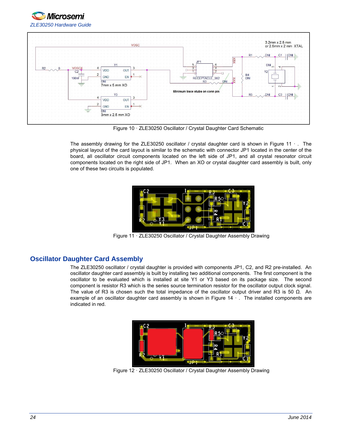



Figure 10 · ZLE30250 Oscillator / Crystal Daughter Card Schematic

The assembly drawing for the ZLE30250 oscillator / crystal daughter card is shown in Figure 11  $\cdot$ . The physical layout of the card layout is similar to the schematic with connector JP1 located in the center of the board, all oscillator circuit components located on the left side of JP1, and all crystal resonator circuit components located on the right side of JP1. When an XO or crystal daughter card assembly is built, only one of these two circuits is populated.



Figure 11 · ZLE30250 Oscillator / Crystal Daughter Assembly Drawing

#### **Oscillator Daughter Card Assembly**

The ZLE30250 oscillator / crystal daughter is provided with components JP1, C2, and R2 pre-installed. An oscillator daughter card assembly is built by installing two additional components. The first component is the oscillator to be evaluated which is installed at site Y1 or Y3 based on its package size. The second component is resistor R3 which is the series source termination resistor for the oscillator output clock signal. The value of R3 is chosen such the total impedance of the oscillator output driver and R3 is 50  $\Omega$ . An example of an oscillator daughter card assembly is shown in Figure  $14 \cdot$ . The installed components are indicated in red.



Figure 12 · ZLE30250 Oscillator / Crystal Daughter Assembly Drawing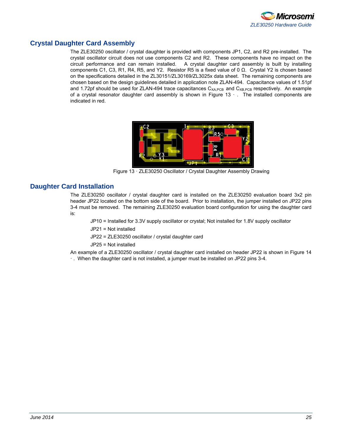

#### **Crystal Daughter Card Assembly**

The ZLE30250 oscillator / crystal daughter is provided with components JP1, C2, and R2 pre-installed. The crystal oscillator circuit does not use components C2 and R2. These components have no impact on the circuit performance and can remain installed. A crystal daughter card assembly is built by installing components C1, C3, R1, R4, R5, and Y2. Resistor R5 is a fixed value of 0 Ω. Crystal Y2 is chosen based on the specifications detailed in the ZL30151/ZL30169/ZL3025x data sheet. The remaining components are chosen based on the design guidelines detailed in application note ZLAN-494. Capacitance values of 1.51pf and 1.72pf should be used for ZLAN-494 trace capacitances  $C_{XAPCB}$  and  $C_{XBPCB}$  respectively. An example of a crystal resonator daughter card assembly is shown in Figure  $13 \cdot$ . The installed components are indicated in red.



Figure 13 · ZLE30250 Oscillator / Crystal Daughter Assembly Drawing

#### **Daughter Card Installation**

The ZLE30250 oscillator / crystal daughter card is installed on the ZLE30250 evaluation board 3x2 pin header JP22 located on the bottom side of the board. Prior to installation, the jumper installed on JP22 pins 3-4 must be removed. The remaining ZLE30250 evaluation board configuration for using the daughter card is:

- JP10 = Installed for 3.3V supply oscillator or crystal; Not installed for 1.8V supply oscillator
- JP21 = Not installed
- JP22 = ZLE30250 oscillator / crystal daughter card
- JP25 = Not installed

An example of a ZLE30250 oscillator / crystal daughter card installed on header JP22 is shown in Figure 14 · . When the daughter card is not installed, a jumper must be installed on JP22 pins 3-4.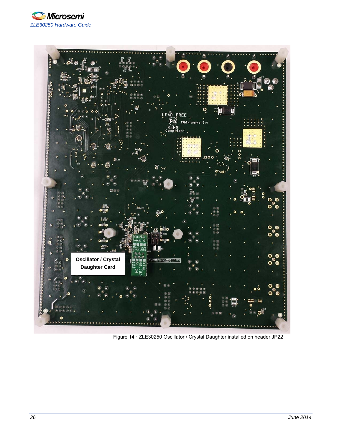



Figure 14 · ZLE30250 Oscillator / Crystal Daughter installed on header JP22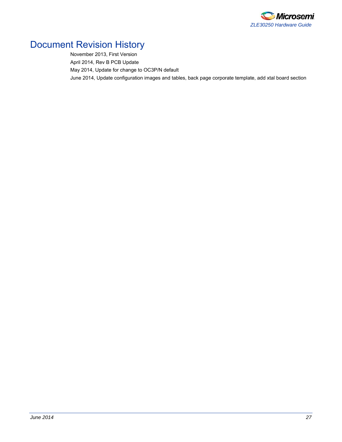

## Document Revision History

November 2013, First Version April 2014, Rev B PCB Update May 2014, Update for change to OC3P/N default June 2014, Update configuration images and tables, back page corporate template, add xtal board section